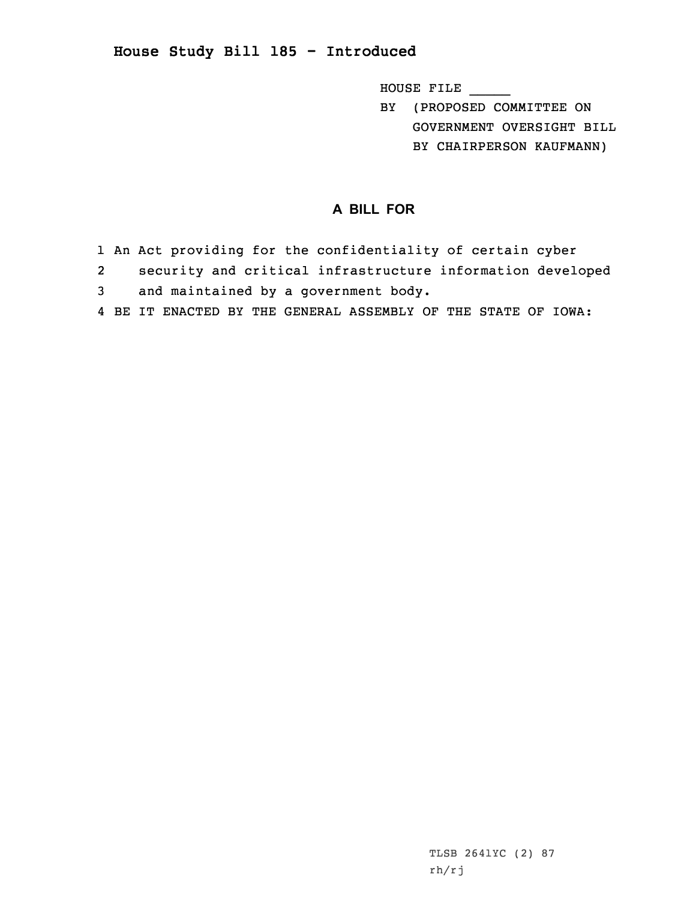## **House Study Bill 185 - Introduced**

HOUSE FILE \_\_\_\_\_

BY (PROPOSED COMMITTEE ON GOVERNMENT OVERSIGHT BILL BY CHAIRPERSON KAUFMANN)

## **A BILL FOR**

- 1 An Act providing for the confidentiality of certain cyber
- 2security and critical infrastructure information developed
- 3 and maintained by <sup>a</sup> government body.
- 4 BE IT ENACTED BY THE GENERAL ASSEMBLY OF THE STATE OF IOWA: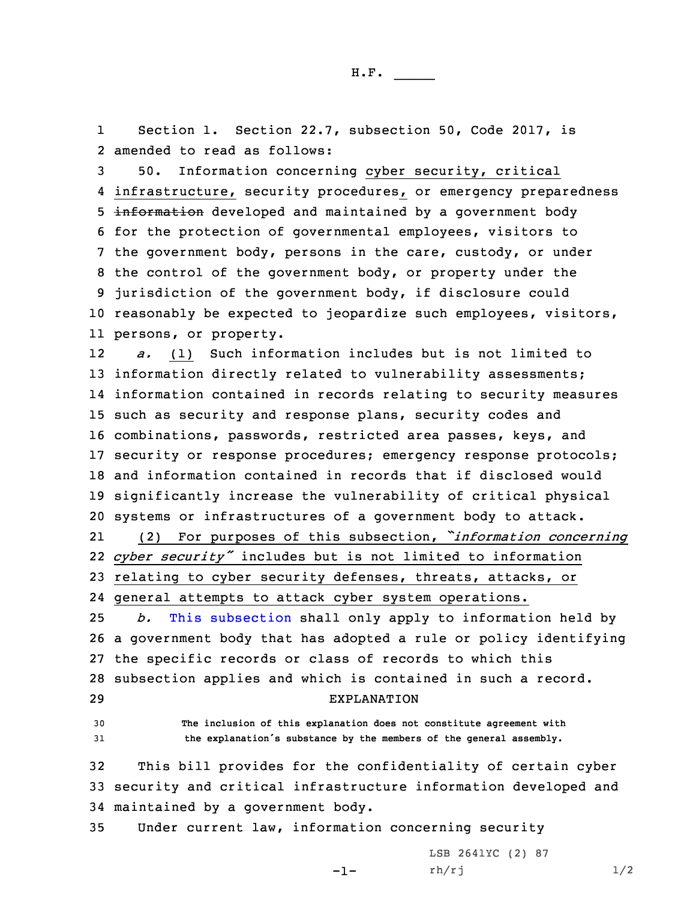1 Section 1. Section 22.7, subsection 50, Code 2017, is 2 amended to read as follows:

 50. Information concerning cyber security, critical infrastructure, security procedures, or emergency preparedness 5 information developed and maintained by a government body for the protection of governmental employees, visitors to the government body, persons in the care, custody, or under the control of the government body, or property under the jurisdiction of the government body, if disclosure could reasonably be expected to jeopardize such employees, visitors, persons, or property.

12 *a.* (1) Such information includes but is not limited to information directly related to vulnerability assessments; information contained in records relating to security measures such as security and response plans, security codes and combinations, passwords, restricted area passes, keys, and security or response procedures; emergency response protocols; and information contained in records that if disclosed would significantly increase the vulnerability of critical physical systems or infrastructures of <sup>a</sup> government body to attack.

21 (2) For purposes of this subsection, *"information concerning* 22 *cyber security"* includes but is not limited to information 23 relating to cyber security defenses, threats, attacks, or 24 general attempts to attack cyber system operations.

 *b.* This [subsection](https://www.legis.iowa.gov/docs/code/2017/22.7.pdf) shall only apply to information held by <sup>a</sup> government body that has adopted <sup>a</sup> rule or policy identifying the specific records or class of records to which this subsection applies and which is contained in such <sup>a</sup> record. EXPLANATION

30 **The inclusion of this explanation does not constitute agreement with** <sup>31</sup> **the explanation's substance by the members of the general assembly.**

32 This bill provides for the confidentiality of certain cyber 33 security and critical infrastructure information developed and 34 maintained by <sup>a</sup> government body.

-1-

35 Under current law, information concerning security

LSB 2641YC (2) 87  $rh/rj$   $1/2$